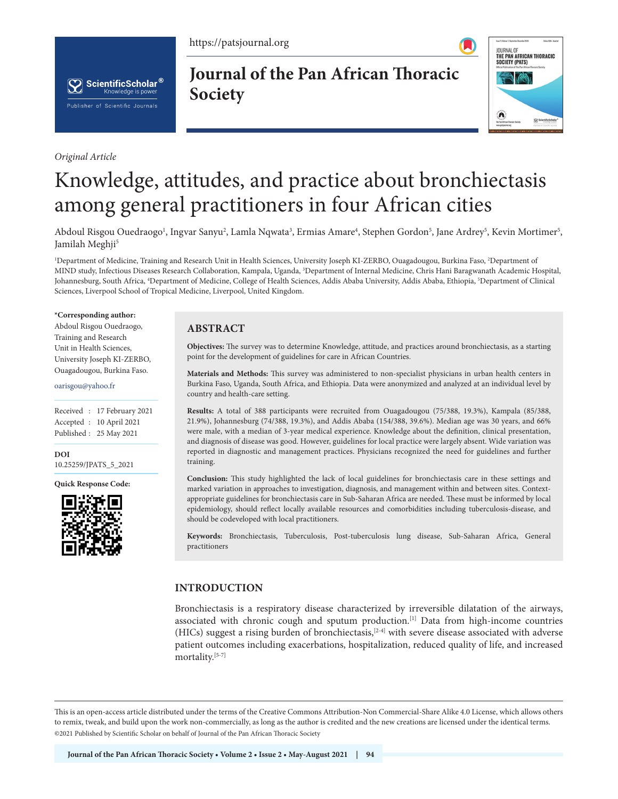https://patsjournal.org



*Original Article*

**Journal of the Pan African Thoracic Society**



# Knowledge, attitudes, and practice about bronchiectasis among general practitioners in four African cities

Abdoul Risgou Ouedraogo', Ingvar Sanyu<sup>2</sup>, Lamla Nqwata<sup>3</sup>, Ermias Amare<sup>4</sup>, Stephen Gordon<sup>5</sup>, Jane Ardrey<sup>5</sup>, Kevin Mortimer<sup>5</sup>, Jamilah Meghji<sup>5</sup>

<sup>1</sup>Department of Medicine, Training and Research Unit in Health Sciences, University Joseph KI-ZERBO, Ouagadougou, Burkina Faso, <sup>2</sup>Department of MIND study, Infectious Diseases Research Collaboration, Kampala, Uganda, 3 Department of Internal Medicine, Chris Hani Baragwanath Academic Hospital, Johannesburg, South Africa, <sup>4</sup>Department of Medicine, College of Health Sciences, Addis Ababa University, Addis Ababa, Ethiopia, <sup>5</sup>Department of Clinical Sciences, Liverpool School of Tropical Medicine, Liverpool, United Kingdom.

#### **\*Corresponding author:**

Abdoul Risgou Ouedraogo, Training and Research Unit in Health Sciences, University Joseph KI-ZERBO, Ouagadougou, Burkina Faso.

#### oarisgou@yahoo.fr

Received : 17 February 2021 Accepted : 10 April 2021 Published : 25 May 2021

**DOI** [10.25259/JPATS\\_5\\_2021](https://dx.doi.org/10.25259/JPATS_5_2021)

**Quick Response Code:**



## **ABSTRACT**

**Objectives:** The survey was to determine Knowledge, attitude, and practices around bronchiectasis, as a starting point for the development of guidelines for care in African Countries.

**Materials and Methods:** This survey was administered to non-specialist physicians in urban health centers in Burkina Faso, Uganda, South Africa, and Ethiopia. Data were anonymized and analyzed at an individual level by country and health-care setting.

**Results:** A total of 388 participants were recruited from Ouagadougou (75/388, 19.3%), Kampala (85/388, 21.9%), Johannesburg (74/388, 19.3%), and Addis Ababa (154/388, 39.6%). Median age was 30 years, and 66% were male, with a median of 3-year medical experience. Knowledge about the definition, clinical presentation, and diagnosis of disease was good. However, guidelines for local practice were largely absent. Wide variation was reported in diagnostic and management practices. Physicians recognized the need for guidelines and further training.

**Conclusion:** This study highlighted the lack of local guidelines for bronchiectasis care in these settings and marked variation in approaches to investigation, diagnosis, and management within and between sites. Contextappropriate guidelines for bronchiectasis care in Sub-Saharan Africa are needed. These must be informed by local epidemiology, should reflect locally available resources and comorbidities including tuberculosis-disease, and should be codeveloped with local practitioners.

**Keywords:** Bronchiectasis, Tuberculosis, Post-tuberculosis lung disease, Sub-Saharan Africa, General practitioners

## **INTRODUCTION**

Bronchiectasis is a respiratory disease characterized by irreversible dilatation of the airways, associated with chronic cough and sputum production.<sup>[1]</sup> Data from high-income countries (HICs) suggest a rising burden of bronchiectasis,[2-4] with severe disease associated with adverse patient outcomes including exacerbations, hospitalization, reduced quality of life, and increased mortality.<sup>[5-7]</sup>

This is an open-access article distributed under the terms of the Creative Commons Attribution-Non Commercial-Share Alike 4.0 License, which allows others to remix, tweak, and build upon the work non-commercially, as long as the author is credited and the new creations are licensed under the identical terms. ©2021 Published by Scientific Scholar on behalf of Journal of the Pan African Thoracic Society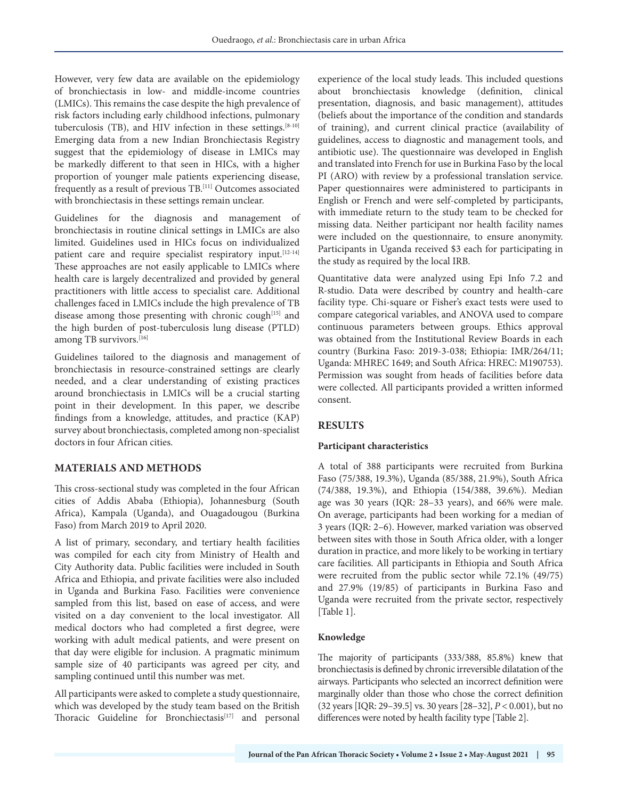However, very few data are available on the epidemiology of bronchiectasis in low- and middle-income countries (LMICs). This remains the case despite the high prevalence of risk factors including early childhood infections, pulmonary tuberculosis (TB), and HIV infection in these settings.<sup>[8-10]</sup> Emerging data from a new Indian Bronchiectasis Registry suggest that the epidemiology of disease in LMICs may be markedly different to that seen in HICs, with a higher proportion of younger male patients experiencing disease, frequently as a result of previous TB.[11] Outcomes associated with bronchiectasis in these settings remain unclear.

Guidelines for the diagnosis and management of bronchiectasis in routine clinical settings in LMICs are also limited. Guidelines used in HICs focus on individualized patient care and require specialist respiratory input.<sup>[12-14]</sup> These approaches are not easily applicable to LMICs where health care is largely decentralized and provided by general practitioners with little access to specialist care. Additional challenges faced in LMICs include the high prevalence of TB disease among those presenting with chronic cough<sup>[15]</sup> and the high burden of post-tuberculosis lung disease (PTLD) among TB survivors.<sup>[16]</sup>

Guidelines tailored to the diagnosis and management of bronchiectasis in resource-constrained settings are clearly needed, and a clear understanding of existing practices around bronchiectasis in LMICs will be a crucial starting point in their development. In this paper, we describe findings from a knowledge, attitudes, and practice (KAP) survey about bronchiectasis, completed among non-specialist doctors in four African cities.

## **MATERIALS AND METHODS**

This cross-sectional study was completed in the four African cities of Addis Ababa (Ethiopia), Johannesburg (South Africa), Kampala (Uganda), and Ouagadougou (Burkina Faso) from March 2019 to April 2020.

A list of primary, secondary, and tertiary health facilities was compiled for each city from Ministry of Health and City Authority data. Public facilities were included in South Africa and Ethiopia, and private facilities were also included in Uganda and Burkina Faso. Facilities were convenience sampled from this list, based on ease of access, and were visited on a day convenient to the local investigator. All medical doctors who had completed a first degree, were working with adult medical patients, and were present on that day were eligible for inclusion. A pragmatic minimum sample size of 40 participants was agreed per city, and sampling continued until this number was met.

All participants were asked to complete a study questionnaire, which was developed by the study team based on the British Thoracic Guideline for Bronchiectasis<sup>[17]</sup> and personal

experience of the local study leads. This included questions about bronchiectasis knowledge (definition, clinical presentation, diagnosis, and basic management), attitudes (beliefs about the importance of the condition and standards of training), and current clinical practice (availability of guidelines, access to diagnostic and management tools, and antibiotic use). The questionnaire was developed in English and translated into French for use in Burkina Faso by the local PI (ARO) with review by a professional translation service. Paper questionnaires were administered to participants in English or French and were self-completed by participants, with immediate return to the study team to be checked for missing data. Neither participant nor health facility names were included on the questionnaire, to ensure anonymity. Participants in Uganda received \$3 each for participating in the study as required by the local IRB.

Quantitative data were analyzed using Epi Info 7.2 and R-studio. Data were described by country and health-care facility type. Chi-square or Fisher's exact tests were used to compare categorical variables, and ANOVA used to compare continuous parameters between groups. Ethics approval was obtained from the Institutional Review Boards in each country (Burkina Faso: 2019-3-038; Ethiopia: IMR/264/11; Uganda: MHREC 1649; and South Africa: HREC: M190753). Permission was sought from heads of facilities before data were collected. All participants provided a written informed consent.

# **RESULTS**

## **Participant characteristics**

A total of 388 participants were recruited from Burkina Faso (75/388, 19.3%), Uganda (85/388, 21.9%), South Africa (74/388, 19.3%), and Ethiopia (154/388, 39.6%). Median age was 30 years (IQR: 28–33 years), and 66% were male. On average, participants had been working for a median of 3 years (IQR: 2–6). However, marked variation was observed between sites with those in South Africa older, with a longer duration in practice, and more likely to be working in tertiary care facilities. All participants in Ethiopia and South Africa were recruited from the public sector while 72.1% (49/75) and 27.9% (19/85) of participants in Burkina Faso and Uganda were recruited from the private sector, respectively [Table 1].

## **Knowledge**

The majority of participants (333/388, 85.8%) knew that bronchiectasis is defined by chronic irreversible dilatation of the airways. Participants who selected an incorrect definition were marginally older than those who chose the correct definition (32 years [IQR: 29–39.5] vs. 30 years [28–32], *P* < 0.001), but no differences were noted by health facility type [Table 2].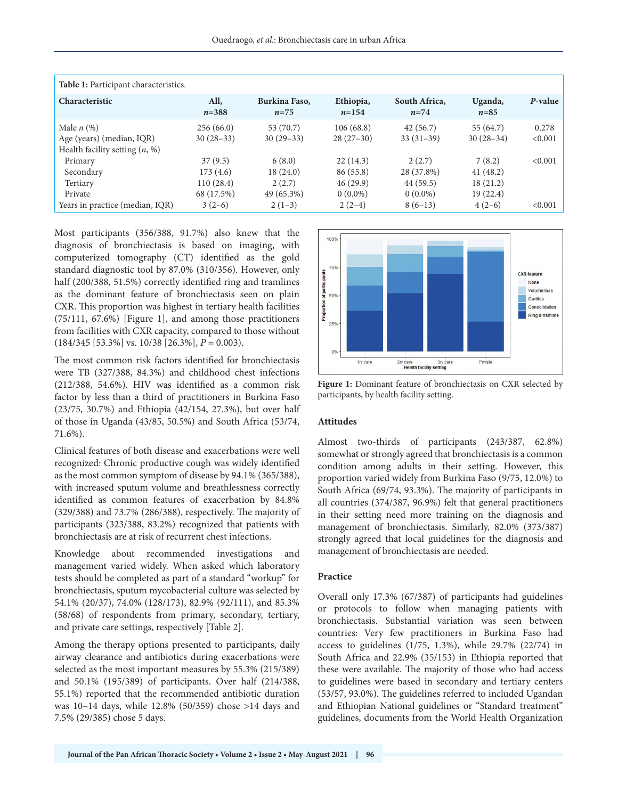| Table 1: Participant characteristics.                                         |                                     |                                  |                                    |                                      |                                  |                  |
|-------------------------------------------------------------------------------|-------------------------------------|----------------------------------|------------------------------------|--------------------------------------|----------------------------------|------------------|
| <b>Characteristic</b>                                                         | All,<br>$n = 388$                   | Burkina Faso,<br>$n = 75$        | Ethiopia,<br>$n=154$               | South Africa,<br>$n=74$              | Uganda,<br>$n = 85$              | P-value          |
| Male $n$ (%)<br>Age (years) (median, IQR)<br>Health facility setting $(n, %)$ | 256(66.0)<br>$30(28-33)$            | 53 (70.7)<br>$30(29-33)$         | 106(68.8)<br>$28(27-30)$           | 42(56.7)<br>$33(31-39)$              | 55 (64.7)<br>$30(28-34)$         | 0.278<br>< 0.001 |
| Primary<br>Secondary                                                          | 37(9.5)<br>173(4.6)                 | 6(8.0)<br>18(24.0)               | 22(14.3)<br>86 (55.8)              | 2(2.7)<br>28 (37.8%)                 | 7(8.2)<br>41(48.2)               | < 0.001          |
| Tertiary<br>Private<br>Years in practice (median, IQR)                        | 110(28.4)<br>68 (17.5%)<br>$3(2-6)$ | 2(2.7)<br>49 (65.3%)<br>$2(1-3)$ | 46(29.9)<br>$0(0.0\%)$<br>$2(2-4)$ | 44 (59.5)<br>$0(0.0\%)$<br>$8(6-13)$ | 18(21.2)<br>19(22.4)<br>$4(2-6)$ | < 0.001          |

Most participants (356/388, 91.7%) also knew that the diagnosis of bronchiectasis is based on imaging, with computerized tomography (CT) identified as the gold standard diagnostic tool by 87.0% (310/356). However, only half (200/388, 51.5%) correctly identified ring and tramlines as the dominant feature of bronchiectasis seen on plain CXR. This proportion was highest in tertiary health facilities (75/111, 67.6%) [Figure 1], and among those practitioners from facilities with CXR capacity, compared to those without (184/345 [53.3%] vs. 10/38 [26.3%], *P* = 0.003).

The most common risk factors identified for bronchiectasis were TB (327/388, 84.3%) and childhood chest infections (212/388, 54.6%). HIV was identified as a common risk factor by less than a third of practitioners in Burkina Faso (23/75, 30.7%) and Ethiopia (42/154, 27.3%), but over half of those in Uganda (43/85, 50.5%) and South Africa (53/74, 71.6%).

Clinical features of both disease and exacerbations were well recognized: Chronic productive cough was widely identified as the most common symptom of disease by 94.1% (365/388), with increased sputum volume and breathlessness correctly identified as common features of exacerbation by 84.8% (329/388) and 73.7% (286/388), respectively. The majority of participants (323/388, 83.2%) recognized that patients with bronchiectasis are at risk of recurrent chest infections.

Knowledge about recommended investigations and management varied widely. When asked which laboratory tests should be completed as part of a standard "workup" for bronchiectasis, sputum mycobacterial culture was selected by 54.1% (20/37), 74.0% (128/173), 82.9% (92/111), and 85.3% (58/68) of respondents from primary, secondary, tertiary, and private care settings, respectively [Table 2].

Among the therapy options presented to participants, daily airway clearance and antibiotics during exacerbations were selected as the most important measures by 55.3% (215/389) and 50.1% (195/389) of participants. Over half (214/388, 55.1%) reported that the recommended antibiotic duration was 10–14 days, while 12.8% (50/359) chose >14 days and 7.5% (29/385) chose 5 days.



**Figure 1:** Dominant feature of bronchiectasis on CXR selected by participants, by health facility setting.

## **Attitudes**

Almost two-thirds of participants (243/387, 62.8%) somewhat or strongly agreed that bronchiectasis is a common condition among adults in their setting. However, this proportion varied widely from Burkina Faso (9/75, 12.0%) to South Africa (69/74, 93.3%). The majority of participants in all countries (374/387, 96.9%) felt that general practitioners in their setting need more training on the diagnosis and management of bronchiectasis. Similarly, 82.0% (373/387) strongly agreed that local guidelines for the diagnosis and management of bronchiectasis are needed.

## **Practice**

Overall only 17.3% (67/387) of participants had guidelines or protocols to follow when managing patients with bronchiectasis. Substantial variation was seen between countries: Very few practitioners in Burkina Faso had access to guidelines (1/75, 1.3%), while 29.7% (22/74) in South Africa and 22.9% (35/153) in Ethiopia reported that these were available. The majority of those who had access to guidelines were based in secondary and tertiary centers (53/57, 93.0%). The guidelines referred to included Ugandan and Ethiopian National guidelines or "Standard treatment" guidelines, documents from the World Health Organization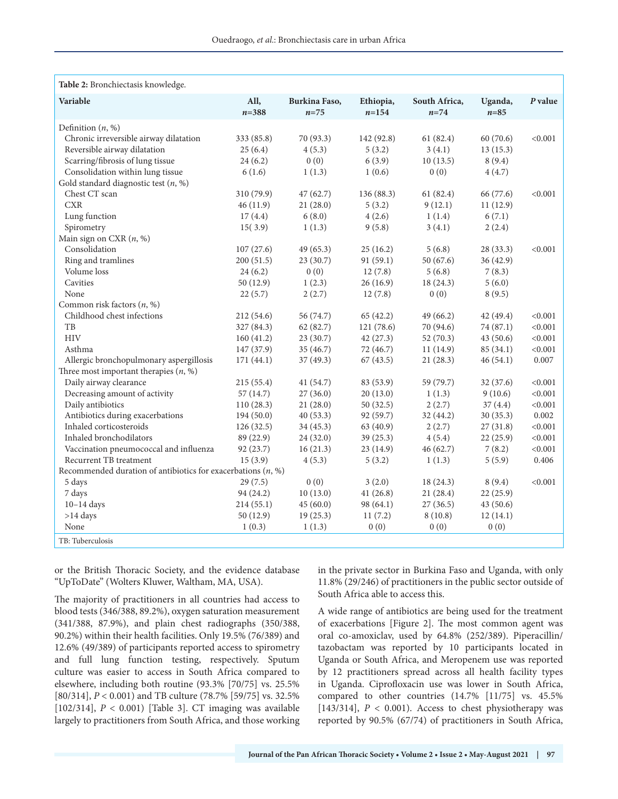| Table 2: Bronchiectasis knowledge.                             |                   |                           |                      |                           |                     |         |  |  |  |
|----------------------------------------------------------------|-------------------|---------------------------|----------------------|---------------------------|---------------------|---------|--|--|--|
| Variable                                                       | All,<br>$n = 388$ | Burkina Faso,<br>$n = 75$ | Ethiopia,<br>$n=154$ | South Africa,<br>$n = 74$ | Uganda,<br>$n = 85$ | P value |  |  |  |
| Definition $(n, %)$                                            |                   |                           |                      |                           |                     |         |  |  |  |
| Chronic irreversible airway dilatation                         | 333 (85.8)        | 70 (93.3)                 | 142 (92.8)           | 61(82.4)                  | 60(70.6)            | < 0.001 |  |  |  |
| Reversible airway dilatation                                   | 25(6.4)           | 4(5.3)                    | 5(3.2)               | 3(4.1)                    | 13(15.3)            |         |  |  |  |
| Scarring/fibrosis of lung tissue                               | 24(6.2)           | 0(0)                      | 6(3.9)               | 10(13.5)                  | 8(9.4)              |         |  |  |  |
| Consolidation within lung tissue                               | 6(1.6)            | 1(1.3)                    | 1(0.6)               | 0(0)                      | 4(4.7)              |         |  |  |  |
| Gold standard diagnostic test $(n, %)$                         |                   |                           |                      |                           |                     |         |  |  |  |
| Chest CT scan                                                  | 310 (79.9)        | 47(62.7)                  | 136 (88.3)           | 61(82.4)                  | 66 (77.6)           | < 0.001 |  |  |  |
| <b>CXR</b>                                                     | 46(11.9)          | 21(28.0)                  | 5(3.2)               | 9(12.1)                   | 11(12.9)            |         |  |  |  |
| Lung function                                                  | 17(4.4)           | 6(8.0)                    | 4(2.6)               | 1(1.4)                    | 6(7.1)              |         |  |  |  |
| Spirometry                                                     | 15(3.9)           | 1(1.3)                    | 9(5.8)               | 3(4.1)                    | 2(2.4)              |         |  |  |  |
| Main sign on CXR $(n, %)$                                      |                   |                           |                      |                           |                     |         |  |  |  |
| Consolidation                                                  | 107(27.6)         | 49(65.3)                  | 25(16.2)             | 5(6.8)                    | 28 (33.3)           | < 0.001 |  |  |  |
| Ring and tramlines                                             | 200(51.5)         | 23(30.7)                  | 91 (59.1)            | 50 (67.6)                 | 36(42.9)            |         |  |  |  |
| Volume loss                                                    | 24(6.2)           | 0(0)                      | 12(7.8)              | 5(6.8)                    | 7(8.3)              |         |  |  |  |
| Cavities                                                       | 50 (12.9)         | 1(2.3)                    | 26(16.9)             | 18(24.3)                  | 5(6.0)              |         |  |  |  |
| None                                                           | 22(5.7)           | 2(2.7)                    | 12(7.8)              | 0(0)                      | 8(9.5)              |         |  |  |  |
| Common risk factors $(n, %)$                                   |                   |                           |                      |                           |                     |         |  |  |  |
| Childhood chest infections                                     | 212 (54.6)        | 56 (74.7)                 | 65(42.2)             | 49(66.2)                  | 42 (49.4)           | < 0.001 |  |  |  |
| TB                                                             | 327 (84.3)        | 62(82.7)                  | 121 (78.6)           | 70 (94.6)                 | 74 (87.1)           | < 0.001 |  |  |  |
| <b>HIV</b>                                                     | 160(41.2)         | 23(30.7)                  | 42(27.3)             | 52(70.3)                  | 43(50.6)            | < 0.001 |  |  |  |
| Asthma                                                         | 147 (37.9)        | 35 (46.7)                 | 72 (46.7)            | 11(14.9)                  | 85(34.1)            | < 0.001 |  |  |  |
| Allergic bronchopulmonary aspergillosis                        | 171(44.1)         | 37(49.3)                  | 67(43.5)             | 21(28.3)                  | 46(54.1)            | 0.007   |  |  |  |
| Three most important therapies $(n, %)$                        |                   |                           |                      |                           |                     |         |  |  |  |
| Daily airway clearance                                         | 215(55.4)         | 41(54.7)                  | 83 (53.9)            | 59 (79.7)                 | 32 (37.6)           | < 0.001 |  |  |  |
| Decreasing amount of activity                                  | 57(14.7)          | 27(36.0)                  | 20(13.0)             | 1(1.3)                    | 9(10.6)             | < 0.001 |  |  |  |
| Daily antibiotics                                              | 110(28.3)         | 21(28.0)                  | 50(32.5)             | 2(2.7)                    | 37 (4.4)            | < 0.001 |  |  |  |
| Antibiotics during exacerbations                               | 194(50.0)         | 40(53.3)                  | 92 (59.7)            | 32(44.2)                  | 30(35.3)            | 0.002   |  |  |  |
| Inhaled corticosteroids                                        | 126(32.5)         | 34(45.3)                  | 63 (40.9)            | 2(2.7)                    | 27(31.8)            | < 0.001 |  |  |  |
| Inhaled bronchodilators                                        | 89 (22.9)         | 24 (32.0)                 | 39(25.3)             | 4(5.4)                    | 22(25.9)            | < 0.001 |  |  |  |
| Vaccination pneumococcal and influenza                         | 92(23.7)          | 16(21.3)                  | 23(14.9)             | 46(62.7)                  | 7(8.2)              | < 0.001 |  |  |  |
| Recurrent TB treatment                                         | 15(3.9)           | 4(5.3)                    | 5(3.2)               | 1(1.3)                    | 5(5.9)              | 0.406   |  |  |  |
| Recommended duration of antibiotics for exacerbations $(n, %)$ |                   |                           |                      |                           |                     |         |  |  |  |
| 5 days                                                         | 29(7.5)           | 0(0)                      | 3(2.0)               | 18(24.3)                  | 8(9.4)              | < 0.001 |  |  |  |
| 7 days                                                         | 94 (24.2)         | 10(13.0)                  | 41(26.8)             | 21(28.4)                  | 22(25.9)            |         |  |  |  |
| $10-14$ days                                                   | 214(55.1)         | 45(60.0)                  | 98 (64.1)            | 27(36.5)                  | 43(50.6)            |         |  |  |  |
| $>14$ days                                                     | 50(12.9)          | 19(25.3)                  | 11(7.2)              | 8(10.8)                   | 12(14.1)            |         |  |  |  |
| None                                                           | 1(0.3)            | 1(1.3)                    | 0(0)                 | 0(0)                      | 0(0)                |         |  |  |  |
| TB: Tuberculosis                                               |                   |                           |                      |                           |                     |         |  |  |  |

or the British Thoracic Society, and the evidence database "UpToDate" (Wolters Kluwer, Waltham, MA, USA).

The majority of practitioners in all countries had access to blood tests (346/388, 89.2%), oxygen saturation measurement (341/388, 87.9%), and plain chest radiographs (350/388, 90.2%) within their health facilities. Only 19.5% (76/389) and 12.6% (49/389) of participants reported access to spirometry and full lung function testing, respectively. Sputum culture was easier to access in South Africa compared to elsewhere, including both routine (93.3% [70/75] vs. 25.5% [80/314], *P* < 0.001) and TB culture (78.7% [59/75] vs. 32.5% [102/314], *P* < 0.001) [Table 3]. CT imaging was available largely to practitioners from South Africa, and those working in the private sector in Burkina Faso and Uganda, with only 11.8% (29/246) of practitioners in the public sector outside of South Africa able to access this.

A wide range of antibiotics are being used for the treatment of exacerbations [Figure 2]. The most common agent was oral co-amoxiclav, used by 64.8% (252/389). Piperacillin/ tazobactam was reported by 10 participants located in Uganda or South Africa, and Meropenem use was reported by 12 practitioners spread across all health facility types in Uganda. Ciprofloxacin use was lower in South Africa, compared to other countries (14.7% [11/75] vs. 45.5% [143/314],  $P < 0.001$ ). Access to chest physiotherapy was reported by 90.5% (67/74) of practitioners in South Africa,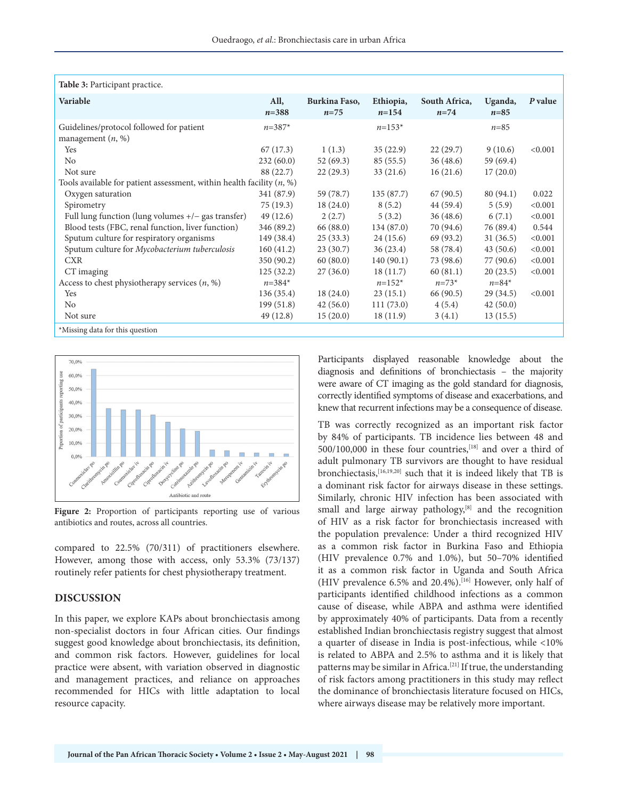| Table 3: Participant practice.                                          |                   |                           |                        |                         |                     |         |  |
|-------------------------------------------------------------------------|-------------------|---------------------------|------------------------|-------------------------|---------------------|---------|--|
| Variable                                                                | All,<br>$n = 388$ | Burkina Faso,<br>$n = 75$ | Ethiopia,<br>$n = 154$ | South Africa,<br>$n=74$ | Uganda,<br>$n = 85$ | P value |  |
| Guidelines/protocol followed for patient<br>management $(n, %)$         | $n = 387*$        |                           | $n=153*$               |                         | $n = 85$            |         |  |
| Yes                                                                     | 67(17.3)          | 1(1.3)                    | 35(22.9)               | 22(29.7)                | 9(10.6)             | < 0.001 |  |
| No                                                                      | 232(60.0)         | 52(69.3)                  | 85(55.5)               | 36(48.6)                | 59 (69.4)           |         |  |
| Not sure                                                                | 88 (22.7)         | 22(29.3)                  | 33(21.6)               | 16(21.6)                | 17(20.0)            |         |  |
| Tools available for patient assessment, within health facility $(n, %)$ |                   |                           |                        |                         |                     |         |  |
| Oxygen saturation                                                       | 341 (87.9)        | 59 (78.7)                 | 135(87.7)              | 67(90.5)                | 80(94.1)            | 0.022   |  |
| Spirometry                                                              | 75(19.3)          | 18(24.0)                  | 8(5.2)                 | 44 (59.4)               | 5(5.9)              | < 0.001 |  |
| Full lung function (lung volumes $+/-$ gas transfer)                    | 49(12.6)          | 2(2.7)                    | 5(3.2)                 | 36(48.6)                | 6(7.1)              | < 0.001 |  |
| Blood tests (FBC, renal function, liver function)                       | 346 (89.2)        | 66 (88.0)                 | 134(87.0)              | 70 (94.6)               | 76 (89.4)           | 0.544   |  |
| Sputum culture for respiratory organisms                                | 149 (38.4)        | 25(33.3)                  | 24(15.6)               | 69 (93.2)               | 31(36.5)            | < 0.001 |  |
| Sputum culture for Mycobacterium tuberculosis                           | 160(41.2)         | 23(30.7)                  | 36(23.4)               | 58 (78.4)               | 43(50.6)            | < 0.001 |  |
| <b>CXR</b>                                                              | 350 (90.2)        | 60(80.0)                  | 140(90.1)              | 73 (98.6)               | 77 (90.6)           | < 0.001 |  |
| CT imaging                                                              | 125(32.2)         | 27(36.0)                  | 18(11.7)               | 60(81.1)                | 20(23.5)            | < 0.001 |  |
| Access to chest physiotherapy services $(n, %)$                         | $n = 384*$        |                           | $n=152*$               | $n = 73*$               | $n = 84*$           |         |  |
| Yes                                                                     | 136(35.4)         | 18(24.0)                  | 23(15.1)               | 66 (90.5)               | 29(34.5)            | < 0.001 |  |
| N <sub>o</sub>                                                          | 199(51.8)         | 42(56.0)                  | 111(73.0)              | 4(5.4)                  | 42(50.0)            |         |  |
| Not sure                                                                | 49(12.8)          | 15(20.0)                  | 18(11.9)               | 3(4.1)                  | 13(15.5)            |         |  |
| *Missing data for this question                                         |                   |                           |                        |                         |                     |         |  |



**Figure 2:** Proportion of participants reporting use of various antibiotics and routes, across all countries.

compared to 22.5% (70/311) of practitioners elsewhere. However, among those with access, only 53.3% (73/137) routinely refer patients for chest physiotherapy treatment.

## **DISCUSSION**

In this paper, we explore KAPs about bronchiectasis among non-specialist doctors in four African cities. Our findings suggest good knowledge about bronchiectasis, its definition, and common risk factors. However, guidelines for local practice were absent, with variation observed in diagnostic and management practices, and reliance on approaches recommended for HICs with little adaptation to local resource capacity.

Participants displayed reasonable knowledge about the diagnosis and definitions of bronchiectasis – the majority were aware of CT imaging as the gold standard for diagnosis, correctly identified symptoms of disease and exacerbations, and knew that recurrent infections may be a consequence of disease.

TB was correctly recognized as an important risk factor by 84% of participants. TB incidence lies between 48 and 500/100,000 in these four countries,<sup>[18]</sup> and over a third of adult pulmonary TB survivors are thought to have residual bronchiectasis,[16,19,20] such that it is indeed likely that TB is a dominant risk factor for airways disease in these settings. Similarly, chronic HIV infection has been associated with small and large airway pathology,<sup>[8]</sup> and the recognition of HIV as a risk factor for bronchiectasis increased with the population prevalence: Under a third recognized HIV as a common risk factor in Burkina Faso and Ethiopia (HIV prevalence 0.7% and 1.0%), but 50–70% identified it as a common risk factor in Uganda and South Africa (HIV prevalence 6.5% and 20.4%).[16] However, only half of participants identified childhood infections as a common cause of disease, while ABPA and asthma were identified by approximately 40% of participants. Data from a recently established Indian bronchiectasis registry suggest that almost a quarter of disease in India is post-infectious, while <10% is related to ABPA and 2.5% to asthma and it is likely that patterns may be similar in Africa.[21] If true, the understanding of risk factors among practitioners in this study may reflect the dominance of bronchiectasis literature focused on HICs, where airways disease may be relatively more important.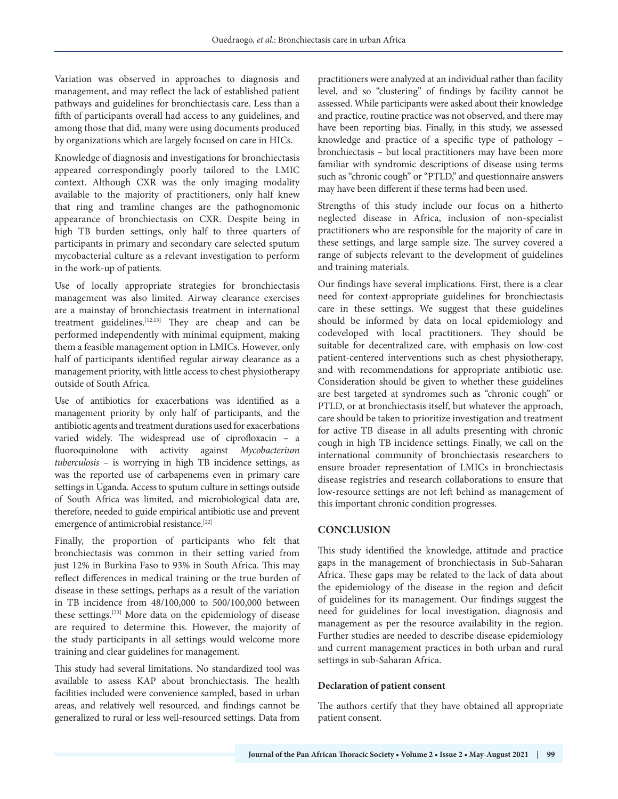Variation was observed in approaches to diagnosis and management, and may reflect the lack of established patient pathways and guidelines for bronchiectasis care. Less than a fifth of participants overall had access to any guidelines, and among those that did, many were using documents produced by organizations which are largely focused on care in HICs.

Knowledge of diagnosis and investigations for bronchiectasis appeared correspondingly poorly tailored to the LMIC context. Although CXR was the only imaging modality available to the majority of practitioners, only half knew that ring and tramline changes are the pathognomonic appearance of bronchiectasis on CXR. Despite being in high TB burden settings, only half to three quarters of participants in primary and secondary care selected sputum mycobacterial culture as a relevant investigation to perform in the work-up of patients.

Use of locally appropriate strategies for bronchiectasis management was also limited. Airway clearance exercises are a mainstay of bronchiectasis treatment in international treatment guidelines.<sup>[12,13]</sup> They are cheap and can be performed independently with minimal equipment, making them a feasible management option in LMICs. However, only half of participants identified regular airway clearance as a management priority, with little access to chest physiotherapy outside of South Africa.

Use of antibiotics for exacerbations was identified as a management priority by only half of participants, and the antibiotic agents and treatment durations used for exacerbations varied widely. The widespread use of ciprofloxacin – a fluoroquinolone with activity against *Mycobacterium tuberculosis –* is worrying in high TB incidence settings, as was the reported use of carbapenems even in primary care settings in Uganda. Access to sputum culture in settings outside of South Africa was limited, and microbiological data are, therefore, needed to guide empirical antibiotic use and prevent emergence of antimicrobial resistance.[22]

Finally, the proportion of participants who felt that bronchiectasis was common in their setting varied from just 12% in Burkina Faso to 93% in South Africa. This may reflect differences in medical training or the true burden of disease in these settings, perhaps as a result of the variation in TB incidence from 48/100,000 to 500/100,000 between these settings.[23] More data on the epidemiology of disease are required to determine this. However, the majority of the study participants in all settings would welcome more training and clear guidelines for management.

This study had several limitations. No standardized tool was available to assess KAP about bronchiectasis. The health facilities included were convenience sampled, based in urban areas, and relatively well resourced, and findings cannot be generalized to rural or less well-resourced settings. Data from

practitioners were analyzed at an individual rather than facility level, and so "clustering" of findings by facility cannot be assessed. While participants were asked about their knowledge and practice, routine practice was not observed, and there may have been reporting bias. Finally, in this study, we assessed knowledge and practice of a specific type of pathology – bronchiectasis – but local practitioners may have been more familiar with syndromic descriptions of disease using terms such as "chronic cough" or "PTLD," and questionnaire answers may have been different if these terms had been used.

Strengths of this study include our focus on a hitherto neglected disease in Africa, inclusion of non-specialist practitioners who are responsible for the majority of care in these settings, and large sample size. The survey covered a range of subjects relevant to the development of guidelines and training materials.

Our findings have several implications. First, there is a clear need for context-appropriate guidelines for bronchiectasis care in these settings. We suggest that these guidelines should be informed by data on local epidemiology and codeveloped with local practitioners. They should be suitable for decentralized care, with emphasis on low-cost patient-centered interventions such as chest physiotherapy, and with recommendations for appropriate antibiotic use. Consideration should be given to whether these guidelines are best targeted at syndromes such as "chronic cough" or PTLD, or at bronchiectasis itself, but whatever the approach, care should be taken to prioritize investigation and treatment for active TB disease in all adults presenting with chronic cough in high TB incidence settings. Finally, we call on the international community of bronchiectasis researchers to ensure broader representation of LMICs in bronchiectasis disease registries and research collaborations to ensure that low-resource settings are not left behind as management of this important chronic condition progresses.

# **CONCLUSION**

This study identified the knowledge, attitude and practice gaps in the management of bronchiectasis in Sub-Saharan Africa. These gaps may be related to the lack of data about the epidemiology of the disease in the region and deficit of guidelines for its management. Our findings suggest the need for guidelines for local investigation, diagnosis and management as per the resource availability in the region. Further studies are needed to describe disease epidemiology and current management practices in both urban and rural settings in sub-Saharan Africa.

## **Declaration of patient consent**

The authors certify that they have obtained all appropriate patient consent.